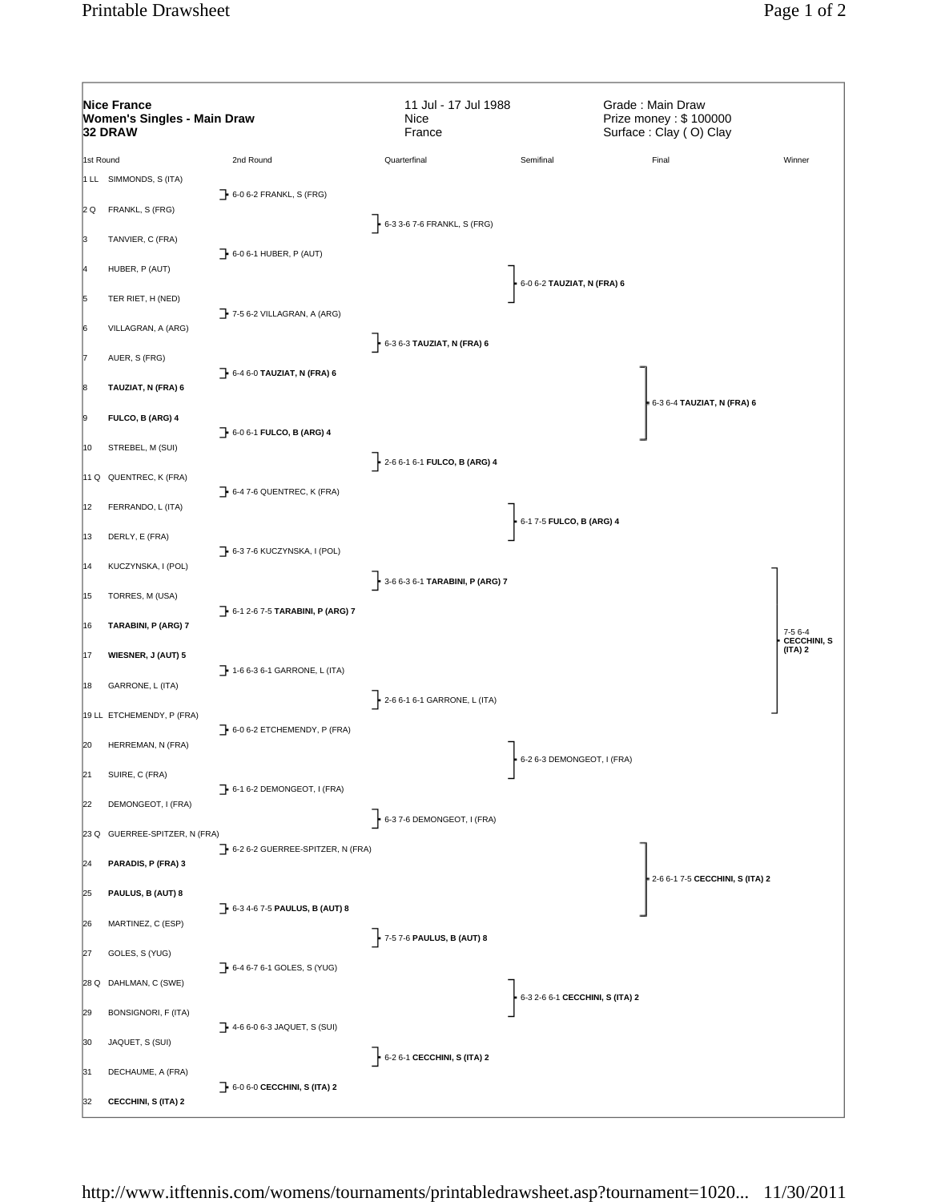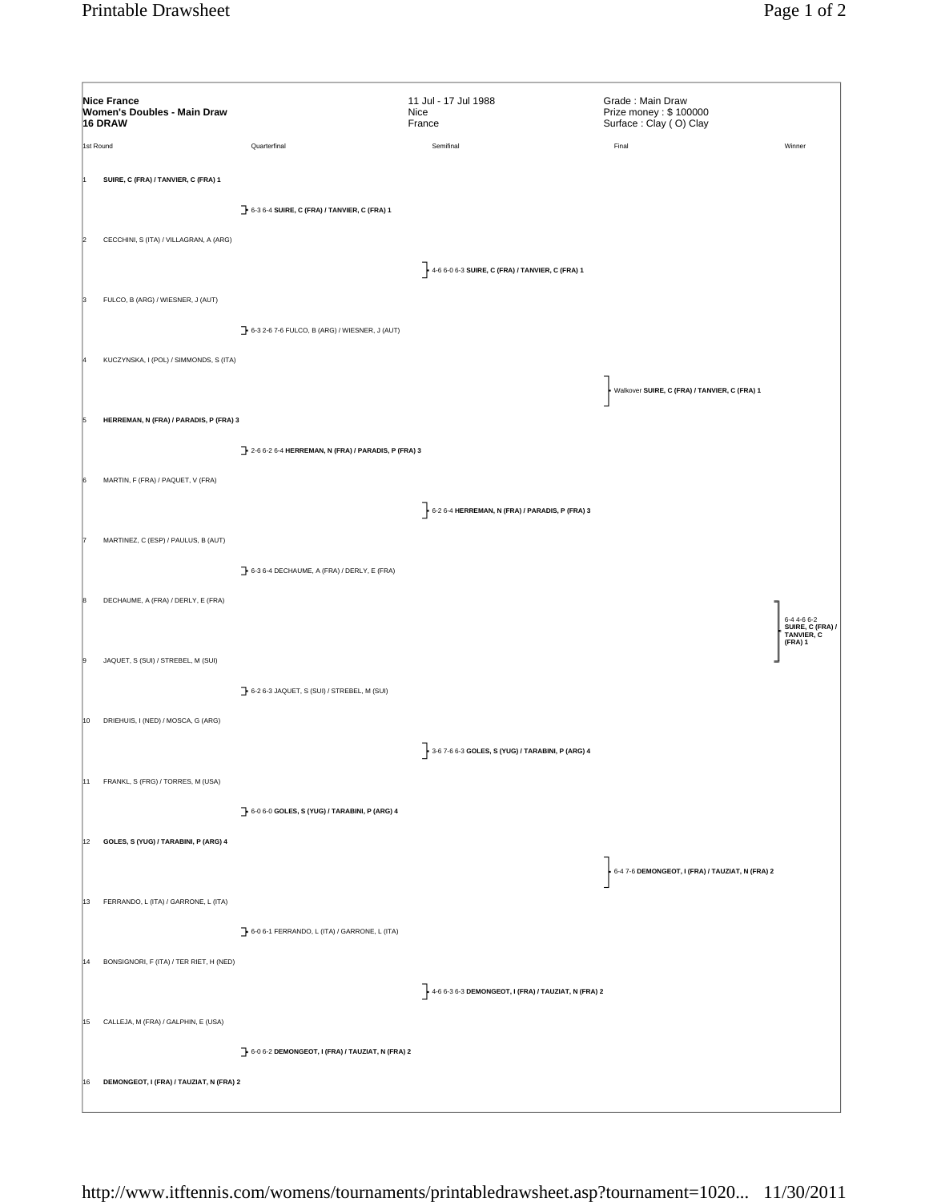|    | <b>Nice France</b><br>Women's Doubles - Main Draw<br>16 DRAW |                                                            | 11 Jul - 17 Jul 1988<br>Nice<br>France                            | Grade: Main Draw<br>Prize money: \$100000<br>Surface: Clay (O) Clay |                               |
|----|--------------------------------------------------------------|------------------------------------------------------------|-------------------------------------------------------------------|---------------------------------------------------------------------|-------------------------------|
|    | 1st Round                                                    | Quarterfinal                                               | Semifinal                                                         | Final                                                               | Winner                        |
|    | SUIRE, C (FRA) / TANVIER, C (FRA) 1                          |                                                            |                                                                   |                                                                     |                               |
|    | CECCHINI, S (ITA) / VILLAGRAN, A (ARG)                       | 6-3 6-4 SUIRE, C (FRA) / TANVIER, C (FRA) 1                | 4-6 6-0 6-3 SUIRE, C (FRA) / TANVIER, C (FRA) 1                   |                                                                     |                               |
| в  | FULCO, B (ARG) / WIESNER, J (AUT)                            |                                                            |                                                                   |                                                                     |                               |
|    | KUCZYNSKA, I (POL) / SIMMONDS, S (ITA)                       | 6-3 2-6 7-6 FULCO, B (ARG) / WIESNER, J (AUT)              |                                                                   | Walkover SUIRE, C (FRA) / TANVIER, C (FRA) 1                        |                               |
|    | HERREMAN, N (FRA) / PARADIS, P (FRA) 3                       |                                                            |                                                                   |                                                                     |                               |
|    | MARTIN, F (FRA) / PAQUET, V (FRA)                            | 2-6 6-2 6-4 HERREMAN, N (FRA) / PARADIS, P (FRA) 3         |                                                                   |                                                                     |                               |
|    | MARTINEZ, C (ESP) / PAULUS, B (AUT)                          |                                                            | $6-26-4$ HERREMAN, N (FRA) / PARADIS, P (FRA) 3                   |                                                                     |                               |
|    | DECHAUME, A (FRA) / DERLY, E (FRA)                           | 6-3 6-4 DECHAUME, A (FRA) / DERLY, E (FRA)                 |                                                                   |                                                                     | 6-4 4-6 6-2<br>SUIRE, C (FRA) |
| l9 | JAQUET, S (SUI) / STREBEL, M (SUI)                           |                                                            |                                                                   |                                                                     | TANVIER, C<br>(FRA) 1         |
| 10 | DRIEHUIS, I (NED) / MOSCA, G (ARG)                           | 6-2 6-3 JAQUET, S (SUI) / STREBEL, M (SUI)                 | 3-6 7-6 6-3 GOLES, S (YUG) / TARABINI, P (ARG) 4                  |                                                                     |                               |
| 11 | FRANKL, S (FRG) / TORRES, M (USA)                            | 6-0 6-0 GOLES, S (YUG) / TARABINI, P (ARG) 4               |                                                                   |                                                                     |                               |
|    | 12 GOLES, S (YUG) / TARABINI, P (ARG) 4                      |                                                            |                                                                   | 6-4 7-6 DEMONGEOT, I (FRA) / TAUZIAT, N (FRA) 2                     |                               |
|    | 13 FERRANDO, L (ITA) / GARRONE, L (ITA)                      |                                                            |                                                                   |                                                                     |                               |
| 14 | BONSIGNORI, F (ITA) / TER RIET, H (NED)                      | $\rightarrow$ 6-0 6-1 FERRANDO, L (ITA) / GARRONE, L (ITA) | $\frac{1}{2}$ 4-6 6-3 6-3 DEMONGEOT, I (FRA) / TAUZIAT, N (FRA) 2 |                                                                     |                               |
|    | 15 CALLEJA, M (FRA) / GALPHIN, E (USA)                       | 6-0 6-2 DEMONGEOT, I (FRA) / TAUZIAT, N (FRA) 2            |                                                                   |                                                                     |                               |
| 16 | DEMONGEOT, I (FRA) / TAUZIAT, N (FRA) 2                      |                                                            |                                                                   |                                                                     |                               |